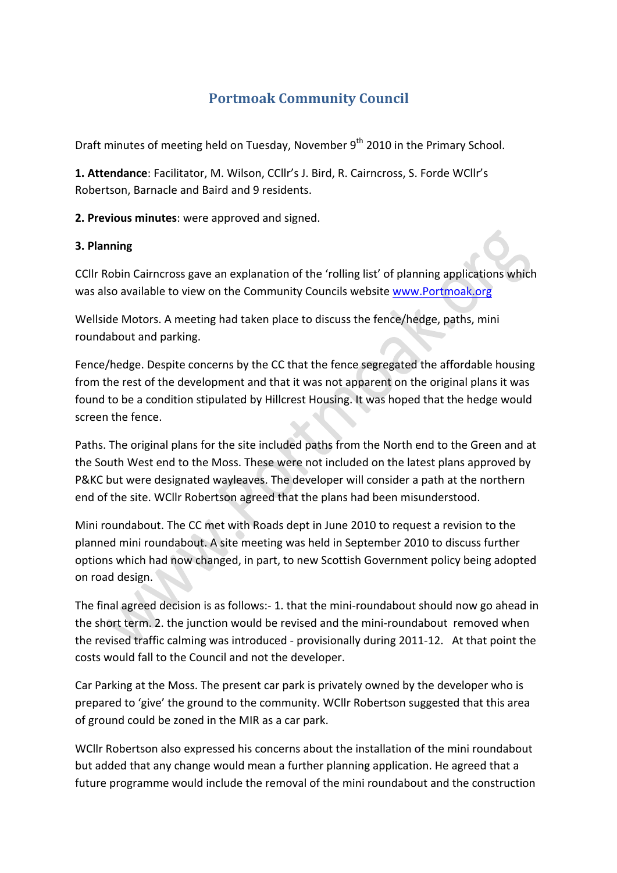# **Portmoak Community Council**

Draft minutes of meeting held on Tuesday, November 9<sup>th</sup> 2010 in the Primary School.

1. Attendance: Facilitator, M. Wilson, CCllr's J. Bird, R. Cairncross, S. Forde WCllr's Robertson, Barnacle and Baird and 9 residents.

**2. Previous minutes:** were approved and signed.

#### **3.#Planning**

CCIIr Robin Cairncross gave an explanation of the 'rolling list' of planning applications which was also available to view on the Community Councils website www.Portmoak.org

Wellside Motors. A meeting had taken place to discuss the fence/hedge, paths, mini roundabout and parking.

Fence/hedge. Despite concerns by the CC that the fence segregated the affordable housing from the rest of the development and that it was not apparent on the original plans it was found to be a condition stipulated by Hillcrest Housing. It was hoped that the hedge would screen the fence.

Paths. The original plans for the site included paths from the North end to the Green and at the South West end to the Moss. These were not included on the latest plans approved by P&KC but were designated wayleaves. The developer will consider a path at the northern end of the site. WCllr Robertson agreed that the plans had been misunderstood.

Mini roundabout. The CC met with Roads dept in June 2010 to request a revision to the planned mini roundabout. A site meeting was held in September 2010 to discuss further options which had now changed, in part, to new Scottish Government policy being adopted on road design.

The final agreed decision is as follows:- 1. that the mini-roundabout should now go ahead in the short term. 2. the junction would be revised and the mini-roundabout removed when the revised traffic calming was introduced - provisionally during 2011-12. At that point the costs would fall to the Council and not the developer.

Car Parking at the Moss. The present car park is privately owned by the developer who is prepared to 'give' the ground to the community. WCllr Robertson suggested that this area of ground could be zoned in the MIR as a car park.

WCllr Robertson also expressed his concerns about the installation of the mini roundabout but added that any change would mean a further planning application. He agreed that a future programme would include the removal of the mini roundabout and the construction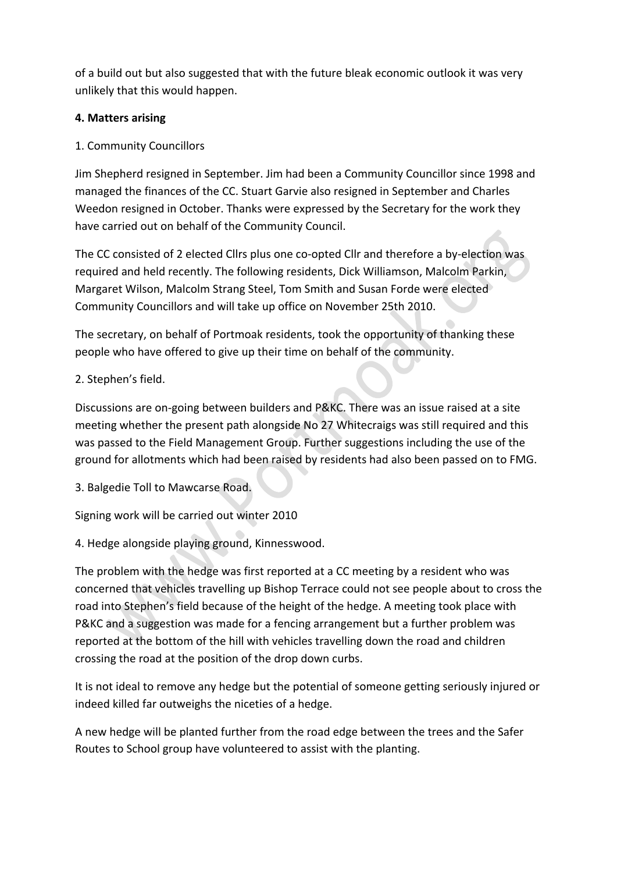of a build out but also suggested that with the future bleak economic outlook it was very unlikely that this would happen.

## **4. Matters arising**

# 1. Community Councillors

Jim Shepherd resigned in September. Jim had been a Community Councillor since 1998 and managed the finances of the CC. Stuart Garvie also resigned in September and Charles Weedon resigned in October. Thanks were expressed by the Secretary for the work they have carried out on behalf of the Community Council.

The CC consisted of 2 elected Cllrs plus one co-opted Cllr and therefore a by-election was required and held recently. The following residents, Dick Williamson, Malcolm Parkin, Margaret Wilson, Malcolm Strang Steel, Tom Smith and Susan Forde were elected Community Councillors and will take up office on November 25th 2010.

The secretary, on behalf of Portmoak residents, took the opportunity of thanking these people who have offered to give up their time on behalf of the community.

# 2. Stephen's field.

Discussions are on-going between builders and P&KC. There was an issue raised at a site meeting whether the present path alongside No 27 Whitecraigs was still required and this was passed to the Field Management Group. Further suggestions including the use of the ground for allotments which had been raised by residents had also been passed on to FMG.

3. Balgedie Toll to Mawcarse Road.

Signing work will be carried out winter 2010

4. Hedge alongside playing ground, Kinnesswood.

The problem with the hedge was first reported at a CC meeting by a resident who was concerned that vehicles travelling up Bishop Terrace could not see people about to cross the road into Stephen's field because of the height of the hedge. A meeting took place with P&KC and a suggestion was made for a fencing arrangement but a further problem was reported at the bottom of the hill with vehicles travelling down the road and children crossing the road at the position of the drop down curbs.

It is not ideal to remove any hedge but the potential of someone getting seriously injured or indeed killed far outweighs the niceties of a hedge.

A new hedge will be planted further from the road edge between the trees and the Safer Routes to School group have volunteered to assist with the planting.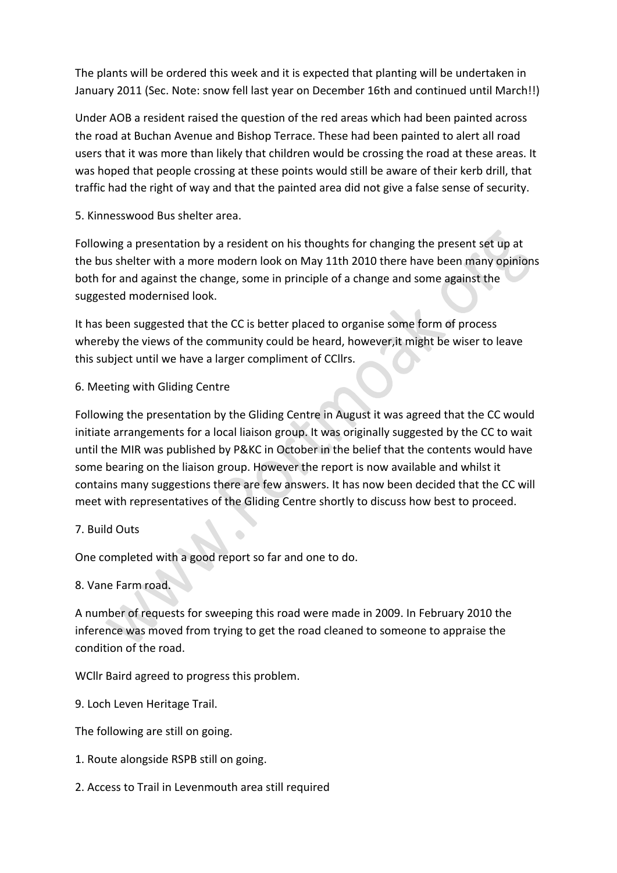The plants will be ordered this week and it is expected that planting will be undertaken in January 2011 (Sec. Note: snow fell last year on December 16th and continued until March!!)

Under AOB a resident raised the question of the red areas which had been painted across the road at Buchan Avenue and Bishop Terrace. These had been painted to alert all road users that it was more than likely that children would be crossing the road at these areas. It was hoped that people crossing at these points would still be aware of their kerb drill, that traffic had the right of way and that the painted area did not give a false sense of security.

5. Kinnesswood Bus shelter area.

Following a presentation by a resident on his thoughts for changing the present set up at the bus shelter with a more modern look on May 11th 2010 there have been many opinions both for and against the change, some in principle of a change and some against the suggested modernised look.

It has been suggested that the CC is better placed to organise some form of process whereby the views of the community could be heard, however, it might be wiser to leave this subject until we have a larger compliment of CCllrs.

#### 6. Meeting with Gliding Centre

Following the presentation by the Gliding Centre in August it was agreed that the CC would initiate arrangements for a local liaison group. It was originally suggested by the CC to wait until the MIR was published by P&KC in October in the belief that the contents would have some bearing on the liaison group. However the report is now available and whilst it contains many suggestions there are few answers. It has now been decided that the CC will meet with representatives of the Gliding Centre shortly to discuss how best to proceed.

#### 7. Build Outs

One completed with a good report so far and one to do.

#### 8. Vane Farm road.

A number of requests for sweeping this road were made in 2009. In February 2010 the inference was moved from trying to get the road cleaned to someone to appraise the condition of the road.

WCllr Baird agreed to progress this problem.

9. Loch Leven Heritage Trail.

The following are still on going.

- 1. Route alongside RSPB still on going.
- 2. Access to Trail in Levenmouth area still required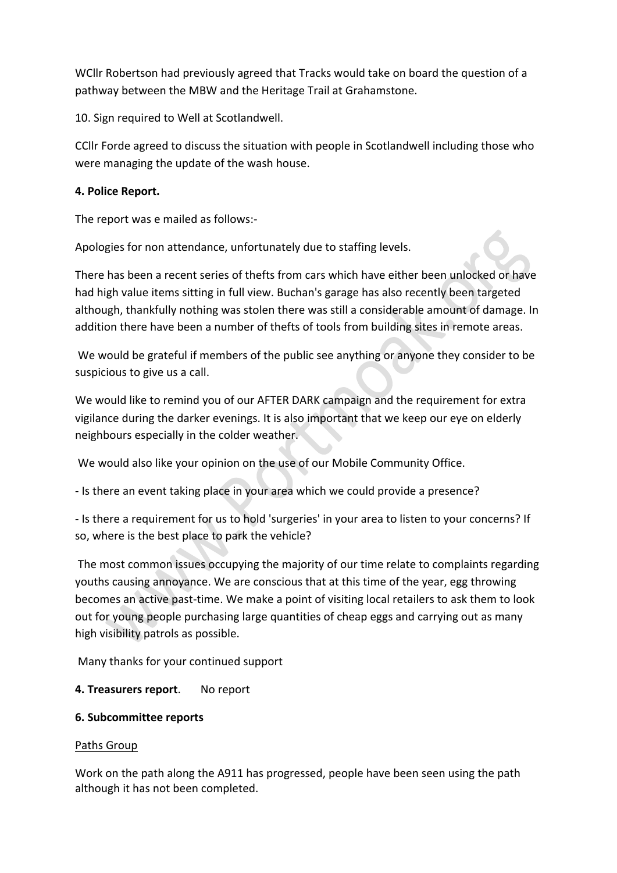WCllr Robertson had previously agreed that Tracks would take on board the question of a pathway between the MBW and the Heritage Trail at Grahamstone.

10. Sign required to Well at Scotlandwell.

CCIIr Forde agreed to discuss the situation with people in Scotlandwell including those who were managing the update of the wash house.

#### **4. Police Report.**

The report was e mailed as follows:-

Apologies for non attendance, unfortunately due to staffing levels.

There has been a recent series of thefts from cars which have either been unlocked or have had high value items sitting in full view. Buchan's garage has also recently been targeted although, thankfully nothing was stolen there was still a considerable amount of damage. In addition there have been a number of thefts of tools from building sites in remote areas.

We would be grateful if members of the public see anything or anyone they consider to be suspicious to give us a call.

We would like to remind you of our AFTER DARK campaign and the requirement for extra vigilance during the darker evenings. It is also important that we keep our eye on elderly neighbours especially in the colder weather.

We would also like your opinion on the use of our Mobile Community Office.

- Is there an event taking place in your area which we could provide a presence?

- Is there a requirement for us to hold 'surgeries' in your area to listen to your concerns? If so, where is the best place to park the vehicle?

The most common issues occupying the majority of our time relate to complaints regarding youths causing annoyance. We are conscious that at this time of the year, egg throwing becomes an active past-time. We make a point of visiting local retailers to ask them to look out for young people purchasing large quantities of cheap eggs and carrying out as many high visibility patrols as possible.

Many thanks for your continued support

## **4. Treasurers report.** No report

#### **6.#Subcommittee reports**

#### Paths Group

Work on the path along the A911 has progressed, people have been seen using the path although it has not been completed.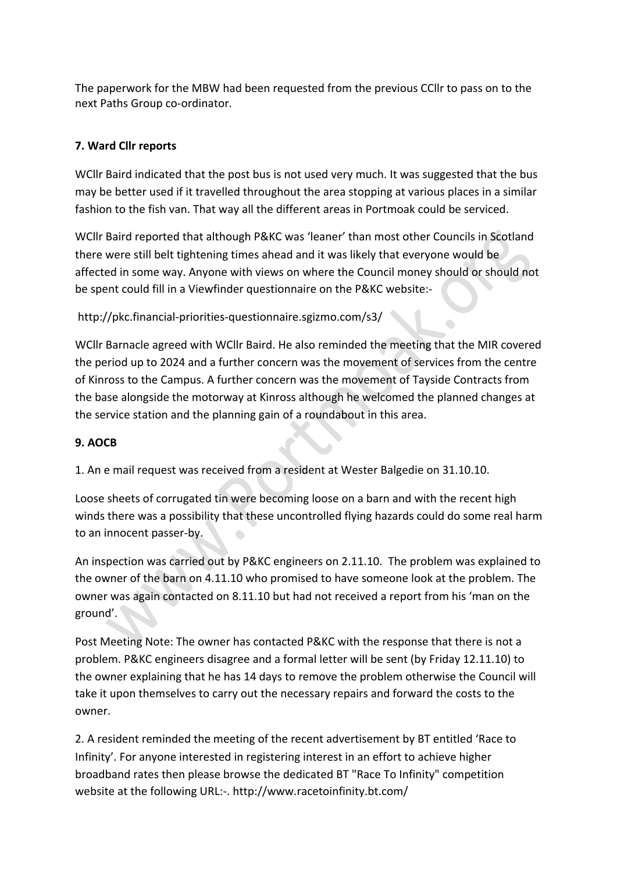The paperwork for the MBW had been requested from the previous CCIIr to pass on to the next Paths Group co-ordinator.

# **7.#Ward#Cllr#reports**

WCIIr Baird indicated that the post bus is not used very much. It was suggested that the bus may be better used if it travelled throughout the area stopping at various places in a similar fashion to the fish van. That way all the different areas in Portmoak could be serviced.

WCllr Baird reported that although P&KC was 'leaner' than most other Councils in Scotland there were still belt tightening times ahead and it was likely that everyone would be affected in some way. Anyone with views on where the Council money should or should not be spent could fill in a Viewfinder questionnaire on the P&KC website:-

http://pkc.financial-priorities-questionnaire.sgizmo.com/s3/

WCllr Barnacle agreed with WCllr Baird. He also reminded the meeting that the MIR covered the period up to 2024 and a further concern was the movement of services from the centre of Kinross to the Campus. A further concern was the movement of Tayside Contracts from the base alongside the motorway at Kinross although he welcomed the planned changes at the service station and the planning gain of a roundabout in this area.

# **9. AOCB**

1. An e mail request was received from a resident at Wester Balgedie on 31.10.10.

Loose sheets of corrugated tin were becoming loose on a barn and with the recent high winds there was a possibility that these uncontrolled flying hazards could do some real harm to an innocent passer-by.  $\bigodot$ 

An inspection was carried out by P&KC engineers on 2.11.10. The problem was explained to the owner of the barn on 4.11.10 who promised to have someone look at the problem. The owner was again contacted on 8.11.10 but had not received a report from his 'man on the ground'.

Post Meeting Note: The owner has contacted P&KC with the response that there is not a problem. P&KC engineers disagree and a formal letter will be sent (by Friday 12.11.10) to the owner explaining that he has 14 days to remove the problem otherwise the Council will take it upon themselves to carry out the necessary repairs and forward the costs to the owner.

2. A resident reminded the meeting of the recent advertisement by BT entitled 'Race to Infinity'. For anyone interested in registering interest in an effort to achieve higher broadband rates then please browse the dedicated BT "Race To Infinity" competition website at the following URL:-. http://www.racetoinfinity.bt.com/